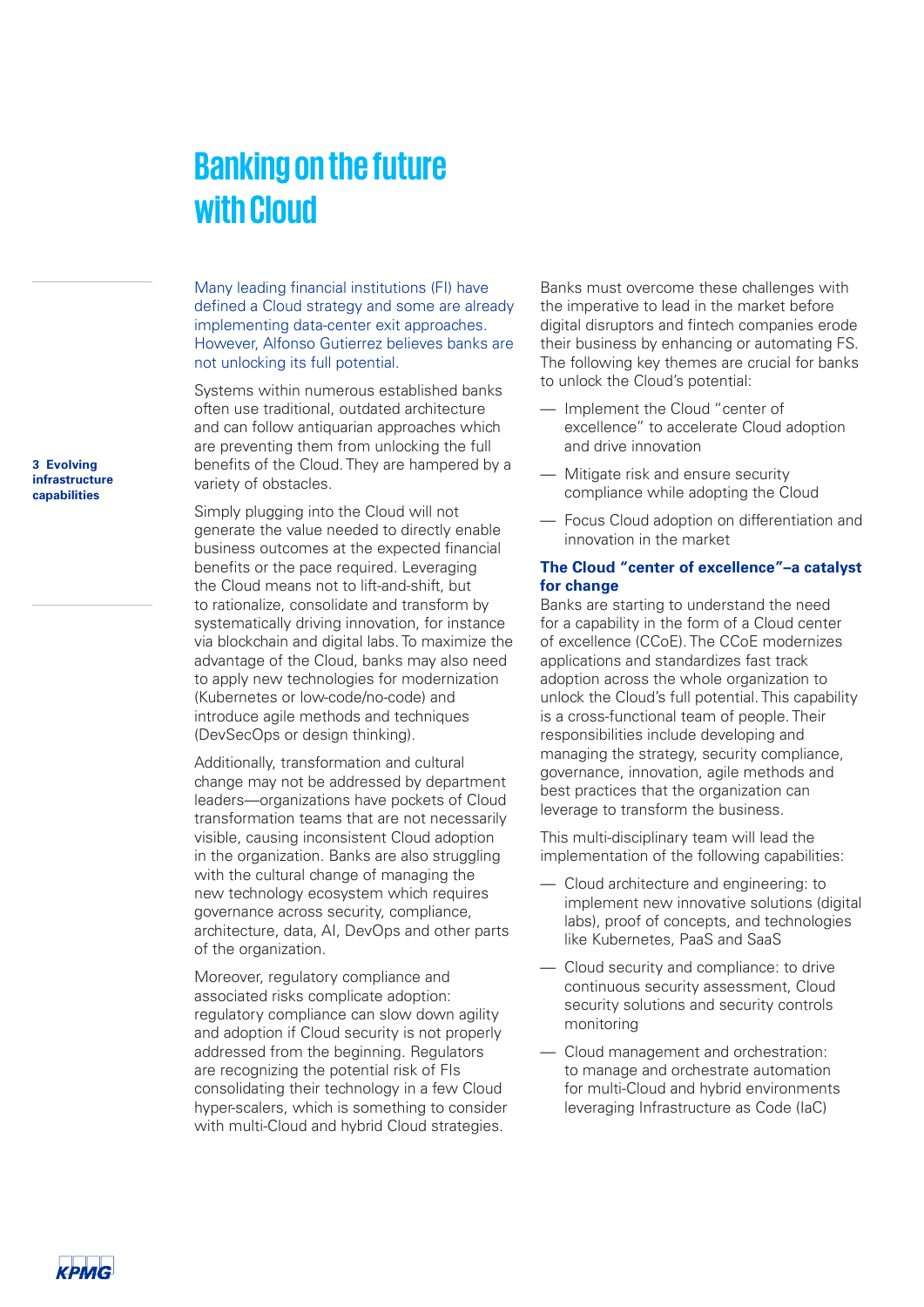## **Banking on the future with Cloud**

Many leading financial institutions (FI) have defined a Cloud strategy and some are already implementing data-center exit approaches. However, Alfonso Gutierrez believes banks are not unlocking its full potential.

Systems within numerous established banks often use traditional, outdated architecture and can follow antiquarian approaches which are preventing them from unlocking the full benefits of the Cloud. They are hampered by a variety of obstacles.

Simply plugging into the Cloud will not generate the value needed to directly enable business outcomes at the expected financial benefits or the pace required. Leveraging the Cloud means not to lift-and-shift, but to rationalize, consolidate and transform by systematically driving innovation, for instance via blockchain and digital labs. To maximize the advantage of the Cloud, banks may also need to apply new technologies for modernization (Kubernetes or low-code/no-code) and introduce agile methods and techniques (DevSecOps or design thinking).

Additionally, transformation and cultural change may not be addressed by department leaders—organizations have pockets of Cloud transformation teams that are not necessarily visible, causing inconsistent Cloud adoption in the organization. Banks are also struggling with the cultural change of managing the new technology ecosystem which requires governance across security, compliance, architecture, data, AI, DevOps and other parts of the organization.

Moreover, regulatory compliance and associated risks complicate adoption: regulatory compliance can slow down agility and adoption if Cloud security is not properly addressed from the beginning. Regulators are recognizing the potential risk of FIs consolidating their technology in a few Cloud hyper-scalers, which is something to consider with multi-Cloud and hybrid Cloud strategies.

Banks must overcome these challenges with the imperative to lead in the market before digital disruptors and fintech companies erode their business by enhancing or automating FS. The following key themes are crucial for banks to unlock the Cloud's potential:

- Implement the Cloud "center of excellence" to accelerate Cloud adoption and drive innovation
- Mitigate risk and ensure security compliance while adopting the Cloud
- Focus Cloud adoption on differentiation and innovation in the market

## **The Cloud "center of excellence"–a catalyst for change**

Banks are starting to understand the need for a capability in the form of a Cloud center of excellence (CCoE). The CCoE modernizes applications and standardizes fast track adoption across the whole organization to unlock the Cloud's full potential. This capability is a cross-functional team of people. Their responsibilities include developing and managing the strategy, security compliance, governance, innovation, agile methods and best practices that the organization can leverage to transform the business.

This multi-disciplinary team will lead the implementation of the following capabilities:

- Cloud architecture and engineering: to implement new innovative solutions (digital labs), proof of concepts, and technologies like Kubernetes, PaaS and SaaS
- Cloud security and compliance: to drive continuous security assessment, Cloud security solutions and security controls monitoring
- Cloud management and orchestration: to manage and orchestrate automation for multi-Cloud and hybrid environments leveraging Infrastructure as Code (IaC)

**3 Evolving infrastructure capabilities**